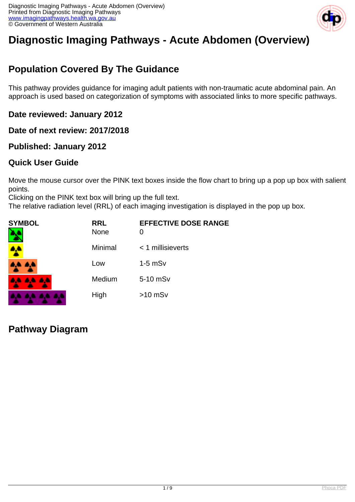

# **Diagnostic Imaging Pathways - Acute Abdomen (Overview)**

# **Population Covered By The Guidance**

This pathway provides guidance for imaging adult patients with non-traumatic acute abdominal pain. An approach is used based on categorization of symptoms with associated links to more specific pathways.

**Date reviewed: January 2012**

**Date of next review: 2017/2018**

**Published: January 2012**

## **Quick User Guide**

Move the mouse cursor over the PINK text boxes inside the flow chart to bring up a pop up box with salient points.

Clicking on the PINK text box will bring up the full text.

The relative radiation level (RRL) of each imaging investigation is displayed in the pop up box.

| SYMBOL        | <b>RRL</b><br>None | <b>EFFECTIVE DOSE RANGE</b><br>O |
|---------------|--------------------|----------------------------------|
| <b>A</b>      | Minimal            | $<$ 1 millisieverts              |
| 4,4 A,4       | Low                | $1-5$ mS $v$                     |
| 8.4 A.A. A.A. | Medium             | 5-10 mSv                         |
|               | High               | $>10$ mSv                        |

**Pathway Diagram**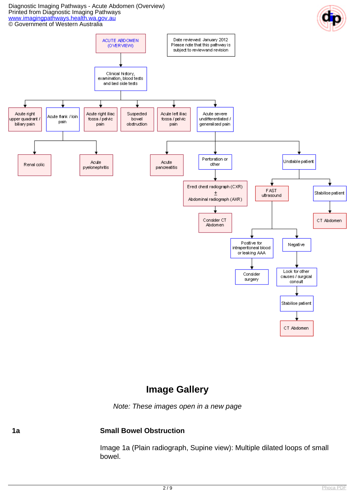

## **Image Gallery**

Note: These images open in a new page

## **1a Small Bowel Obstruction**

Image 1a (Plain radiograph, Supine view): Multiple dilated loops of small bowel.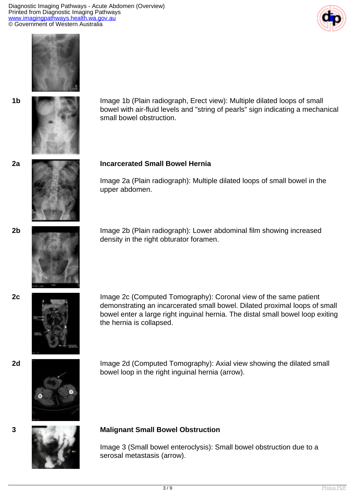





**1b** Image 1b (Plain radiograph, Erect view): Multiple dilated loops of small bowel with air-fluid levels and "string of pearls" sign indicating a mechanical small bowel obstruction.

#### **2a Incarcerated Small Bowel Hernia**

Image 2a (Plain radiograph): Multiple dilated loops of small bowel in the upper abdomen.



**2b** Image 2b (Plain radiograph): Lower abdominal film showing increased density in the right obturator foramen.



**2c** Image 2c (Computed Tomography): Coronal view of the same patient demonstrating an incarcerated small bowel. Dilated proximal loops of small bowel enter a large right inguinal hernia. The distal small bowel loop exiting the hernia is collapsed.



**2d Image 2d (Computed Tomography): Axial view showing the dilated small** bowel loop in the right inguinal hernia (arrow).



#### **3 Malignant Small Bowel Obstruction**

Image 3 (Small bowel enteroclysis): Small bowel obstruction due to a serosal metastasis (arrow).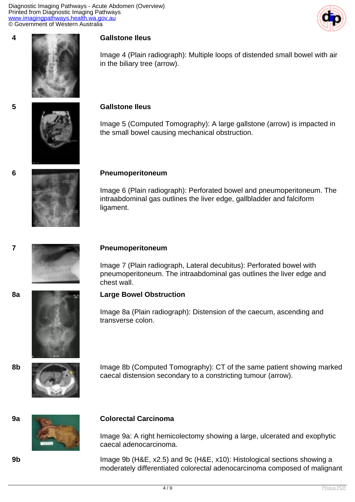



Image 4 (Plain radiograph): Multiple loops of distended small bowel with air in the biliary tree (arrow).

#### **5 Gallstone Ileus**

Image 5 (Computed Tomography): A large gallstone (arrow) is impacted in the small bowel causing mechanical obstruction.

#### **6 Pneumoperitoneum**

Image 6 (Plain radiograph): Perforated bowel and pneumoperitoneum. The intraabdominal gas outlines the liver edge, gallbladder and falciform ligament.



#### **7 Pneumoperitoneum**

Image 7 (Plain radiograph, Lateral decubitus): Perforated bowel with pneumoperitoneum. The intraabdominal gas outlines the liver edge and chest wall.





## **8a Large Bowel Obstruction**

Image 8a (Plain radiograph): Distension of the caecum, ascending and transverse colon.



**8b** Image 8b (Computed Tomography): CT of the same patient showing marked caecal distension secondary to a constricting tumour (arrow).



#### **9a Colorectal Carcinoma**

Image 9a: A right hemicolectomy showing a large, ulcerated and exophytic caecal adenocarcinoma.

**9b** Image 9b (H&E, x2.5) and 9c (H&E, x10): Histological sections showing a moderately differentiated colorectal adenocarcinoma composed of malignant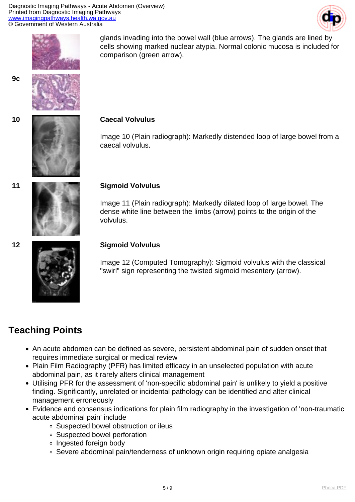



glands invading into the bowel wall (blue arrows). The glands are lined by cells showing marked nuclear atypia. Normal colonic mucosa is included for comparison (green arrow).







## **10 Caecal Volvulus**

Image 10 (Plain radiograph): Markedly distended loop of large bowel from a caecal volvulus.



### **11 Sigmoid Volvulus**

Image 11 (Plain radiograph): Markedly dilated loop of large bowel. The dense white line between the limbs (arrow) points to the origin of the volvulus.



### **12 Sigmoid Volvulus**

Image 12 (Computed Tomography): Sigmoid volvulus with the classical "swirl" sign representing the twisted sigmoid mesentery (arrow).

# **Teaching Points**

- An acute abdomen can be defined as severe, persistent abdominal pain of sudden onset that requires immediate surgical or medical review
- Plain Film Radiography (PFR) has limited efficacy in an unselected population with acute abdominal pain, as it rarely alters clinical management
- Utilising PFR for the assessment of 'non-specific abdominal pain' is unlikely to yield a positive finding. Significantly, unrelated or incidental pathology can be identified and alter clinical management erroneously
- Evidence and consensus indications for plain film radiography in the investigation of 'non-traumatic acute abdominal pain' include
	- Suspected bowel obstruction or ileus
	- Suspected bowel perforation
	- Ingested foreign body
	- Severe abdominal pain/tenderness of unknown origin requiring opiate analgesia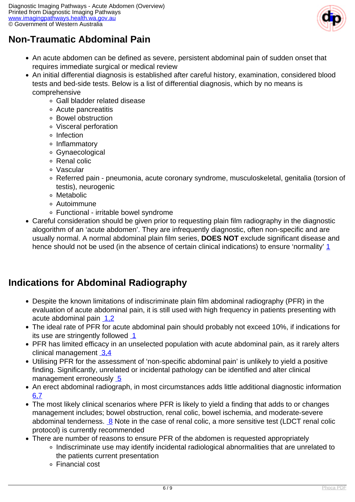

# **Non-Traumatic Abdominal Pain**

- An acute abdomen can be defined as severe, persistent abdominal pain of sudden onset that requires immediate surgical or medical review
- An initial differential diagnosis is established after careful history, examination, considered blood tests and bed-side tests. Below is a list of differential diagnosis, which by no means is comprehensive
	- Gall bladder related disease
	- Acute pancreatitis
	- Bowel obstruction
	- Visceral perforation
	- o Infection
	- Inflammatory
	- Gynaecological
	- Renal colic
	- Vascular
	- Referred pain pneumonia, acute coronary syndrome, musculoskeletal, genitalia (torsion of testis), neurogenic
	- Metabolic
	- Autoimmune
	- Functional irritable bowel syndrome
- Careful consideration should be given prior to requesting plain film radiography in the diagnostic alogorithm of an 'acute abdomen'. They are infrequently diagnostic, often non-specific and are usually normal. A normal abdominal plain film series, **DOES NOT** exclude significant disease and hence should not be used (in the absence of certain clinical indications) to ensure 'normality' [1](index.php?option=com_content&view=article&id=29&tab=References)

# **Indications for Abdominal Radiography**

- Despite the known limitations of indiscriminate plain film abdominal radiography (PFR) in the evaluation of acute abdominal pain, it is still used with high frequency in patients presenting with acute abdominal pain [1,2](index.php?option=com_content&view=article&id=29&tab=References#1)
- The ideal rate of PFR for acute abdominal pain should probably not exceed 10%, if indications for its use are stringently followed  $1$
- PFR has limited efficacy in an unselected population with acute abdominal pain, as it rarely alters clinical management [3,4](index.php?option=com_content&view=article&id=29&tab=References#3)
- Utilising PFR for the assessment of 'non-specific abdominal pain' is unlikely to yield a positive finding. Significantly, unrelated or incidental pathology can be identified and alter clinical management erroneously [5](index.php?option=com_content&view=article&id=29&tab=References#5)
- An erect abdominal radiograph, in most circumstances adds little additional diagnostic information [6,7](index.php?option=com_content&view=article&id=29&tab=References#6)
- The most likely clinical scenarios where PFR is likely to yield a finding that adds to or changes management includes; bowel obstruction, renal colic, bowel ischemia, and moderate-severe abdominal tenderness. [8](index.php?option=com_content&view=article&id=29&tab=References#8) Note in the case of renal colic, a more sensitive test (LDCT renal colic protocol) is currently recommended
- There are number of reasons to ensure PFR of the abdomen is requested appropriately
	- Indiscriminate use may identify incidental radiological abnormalities that are unrelated to the patients current presentation
		- Financial cost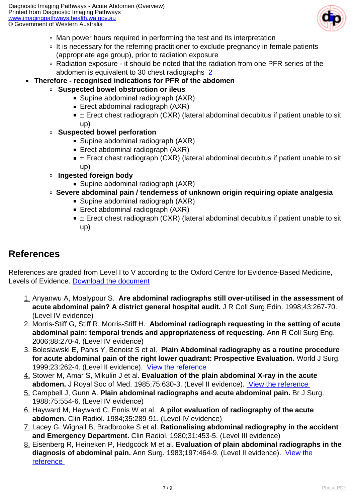

- Man power hours required in performing the test and its interpretation
- It is necessary for the referring practitioner to exclude pregnancy in female patients (appropriate age group), prior to radiation exposure
- Radiation exposure it should be noted that the radiation from one PFR series of the abdomen is equivalent to 30 chest radiographs [2](index.php?option=com_content&view=article&id=29&tab=References#2)
- **Therefore recognised indications for PFR of the abdomen** 
	- **Suspected bowel obstruction or ileus** 
		- Supine abdominal radiograph (AXR)
		- Erect abdominal radiograph (AXR)
		- $\bullet$   $\pm$  Erect chest radiograph (CXR) (lateral abdominal decubitus if patient unable to sit up)
		- **Suspected bowel perforation** 
			- Supine abdominal radiograph (AXR)
			- Erect abdominal radiograph (AXR)
			- $\blacksquare$   $\pm$  Erect chest radiograph (CXR) (lateral abdominal decubitus if patient unable to sit up)
		- **Ingested foreign body** 
			- Supine abdominal radiograph (AXR)
		- **Severe abdominal pain / tenderness of unknown origin requiring opiate analgesia**
			- Supine abdominal radiograph (AXR)
			- Erect abdominal radiograph (AXR)
			- $\bullet$   $\pm$  Erect chest radiograph (CXR) (lateral abdominal decubitus if patient unable to sit up)

# **References**

References are graded from Level I to V according to the Oxford Centre for Evidence-Based Medicine, Levels of Evidence. [Download the document](http://www.cebm.net/wp-content/uploads/2014/06/CEBM-Levels-of-Evidence-2.1.pdf)

- 1. Anyanwu A, Moalypour S. **Are abdominal radiographs still over-utilised in the assessment of acute abdominal pain? A district general hospital audit.** J R Coll Surg Edin. 1998;43:267-70. (Level IV evidence)
- 2. Morris-Stiff G, Stiff R, Morris-Stiff H. **Abdominal radiograph requesting in the setting of acute abdominal pain: temporal trends and appropriateness of requesting.** Ann R Coll Surg Eng. 2006;88:270-4. (Level IV evidence)
- 3. Boleslawski E, Panis Y, Benoist S et al. **Plain Abdominal radiography as a routine procedure for acute abdominal pain of the right lower quadrant: Prospective Evaluation.** World J Surg. 1999;23:262-4. (Level II evidence). [View the reference](http://www.ncbi.nlm.nih.gov/sites/entrez?orig_db=PubMed&db=PubMed&cmd=Search&TransSchema=title&term=Plain%20Abdominal%20radiography%20as%20a%20Routine%20Procedure%20for%20acute%20abdominal%20pain%20of%20the%20right%20lower%20quadrant%3A%20Prospective%20Evaluation%20)
- 4. Stower M, Amar S, Mikulin J et al. **Evaluation of the plain abdominal X-ray in the acute abdomen.** J Royal Soc of Med. 1985;75:630-3. (Level II evidence). [View the reference](http://www.ncbi.nlm.nih.gov/sites/entrez?orig_db=PubMed&db=PubMed&cmd=Search&TransSchema=title&term=Evaluation%20of%20the%20plain%20abdominal%20X-ray%20in%20the%20acute%20abdomen)
- 5. Campbell J, Gunn A. **Plain abdominal radiographs and acute abdominal pain.** Br J Surg. 1988;75:554-6. (Level IV evidence)
- 6. Hayward M, Hayward C, Ennis W et al. **A pilot evaluation of radiography of the acute abdomen.** Clin Radiol. 1984;35:289-91. (Level IV evidence)
- 7. Lacey G, Wignall B, Bradbrooke S et al. **Rationalising abdominal radiography in the accident and Emergency Department.** Clin Radiol. 1980;31:453-5. (Level III evidence)
- 8. Eisenberg R, Heineken P, Hedgcock M et al. **Evaluation of plain abdominal radiographs in the diagnosis of abdominal pain.** Ann Surg. 1983;197:464-9. (Level II evidence). [View the](http://www.ncbi.nlm.nih.gov/sites/entrez?Db=PubMed&Cmd=ShowDetailView&TermToSearch=6830353&ordinalpos=1&itool=EntrezSystem2.PEntrez.Pubmed.Pubmed_ResultsPanel.Pubmed_RVDocSum) [reference](http://www.ncbi.nlm.nih.gov/sites/entrez?Db=PubMed&Cmd=ShowDetailView&TermToSearch=6830353&ordinalpos=1&itool=EntrezSystem2.PEntrez.Pubmed.Pubmed_ResultsPanel.Pubmed_RVDocSum)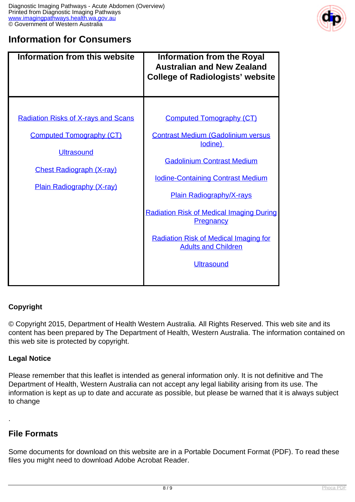

## **Information for Consumers**

| <b>Information from this website</b>                                                                                                                                      | <b>Information from the Royal</b><br><b>Australian and New Zealand</b><br><b>College of Radiologists' website</b>                                                                                                                                                                                                                                                              |
|---------------------------------------------------------------------------------------------------------------------------------------------------------------------------|--------------------------------------------------------------------------------------------------------------------------------------------------------------------------------------------------------------------------------------------------------------------------------------------------------------------------------------------------------------------------------|
| <b>Radiation Risks of X-rays and Scans</b><br><b>Computed Tomography (CT)</b><br><b>Ultrasound</b><br><b>Chest Radiograph (X-ray)</b><br><b>Plain Radiography (X-ray)</b> | <b>Computed Tomography (CT)</b><br><b>Contrast Medium (Gadolinium versus</b><br>lodine)<br><b>Gadolinium Contrast Medium</b><br><b>Iodine-Containing Contrast Medium</b><br><b>Plain Radiography/X-rays</b><br><b>Radiation Risk of Medical Imaging During</b><br>Pregnancy<br><b>Radiation Risk of Medical Imaging for</b><br><b>Adults and Children</b><br><b>Ultrasound</b> |

## **Copyright**

© Copyright 2015, Department of Health Western Australia. All Rights Reserved. This web site and its content has been prepared by The Department of Health, Western Australia. The information contained on this web site is protected by copyright.

### **Legal Notice**

Please remember that this leaflet is intended as general information only. It is not definitive and The Department of Health, Western Australia can not accept any legal liability arising from its use. The information is kept as up to date and accurate as possible, but please be warned that it is always subject to change

## **File Formats**

.

Some documents for download on this website are in a Portable Document Format (PDF). To read these files you might need to download Adobe Acrobat Reader.